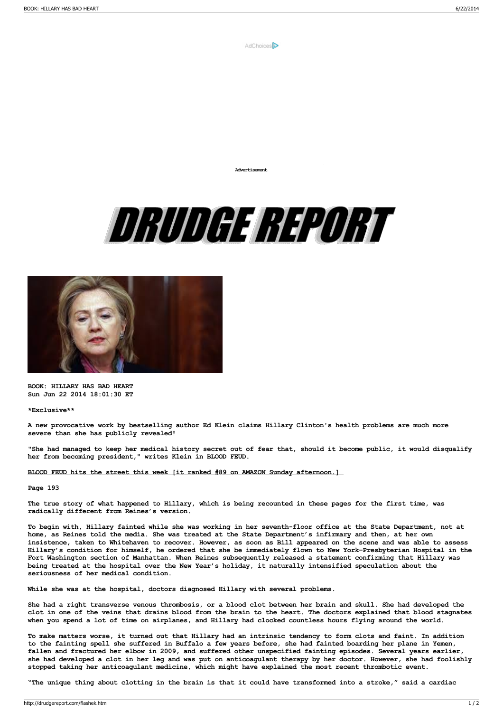

**Advertisement**





**BOOK: HILLARY HAS BAD HEART Sun Jun 22 2014 18:01:30 ET**

**\*Exclusive\*\***

A new provocative work by bestselling author Ed Klein claims Hillary Clinton's health problems are much more **severe than she has publicly revealed!**

"She had managed to keep her medical history secret out of fear that, should it become public, it would disqualify **her from becoming president," writes Klein in BLOOD FEUD.**

**BLOOD FEUD hits the street this week [it ranked #89 on AMAZON Sunday [afternoon.\]](http://www.amazon.com/Blood-Feud-The-Clintons-Obamas/dp/1621573133)**

## **Page 193**

The true story of what happened to Hillary, which is being recounted in these pages for the first time, was **radically different from Reines's version.**

To begin with, Hillary fainted while she was working in her seventh-floor office at the State Department, not at home, as Reines told the media. She was treated at the State Department's infirmary and then, at her own insistence, taken to Whitehaven to recover. However, as soon as Bill appeared on the scene and was able to assess Hillary's condition for himself, he ordered that she be immediately flown to New York-Presbyterian Hospital in the **Fort Washington section of Manhattan. When Reines subsequently released a statement confirming that Hillary was being treated at the hospital over the New Year's holiday, it naturally intensified speculation about the seriousness of her medical condition.**

**While she was at the hospital, doctors diagnosed Hillary with several problems.**

She had a right transverse venous thrombosis, or a blood clot between her brain and skull. She had developed the clot in one of the veins that drains blood from the brain to the heart. The doctors explained that blood stagnates when you spend a lot of time on airplanes, and Hillary had clocked countless hours flying around the world.

To make matters worse, it turned out that Hillary had an intrinsic tendency to form clots and faint. In addition to the fainting spell she suffered in Buffalo a few years before, she had fainted boarding her plane in Yemen, **fallen and fractured her elbow in 2009, and suffered other unspecified fainting episodes. Several years earlier,** she had developed a clot in her leg and was put on anticoagulant therapy by her doctor. However, she had foolishly **stopped taking her anticoagulant medicine, which might have explained the most recent thrombotic event.**

"The unique thing about clotting in the brain is that it could have transformed into a stroke," said a cardiac